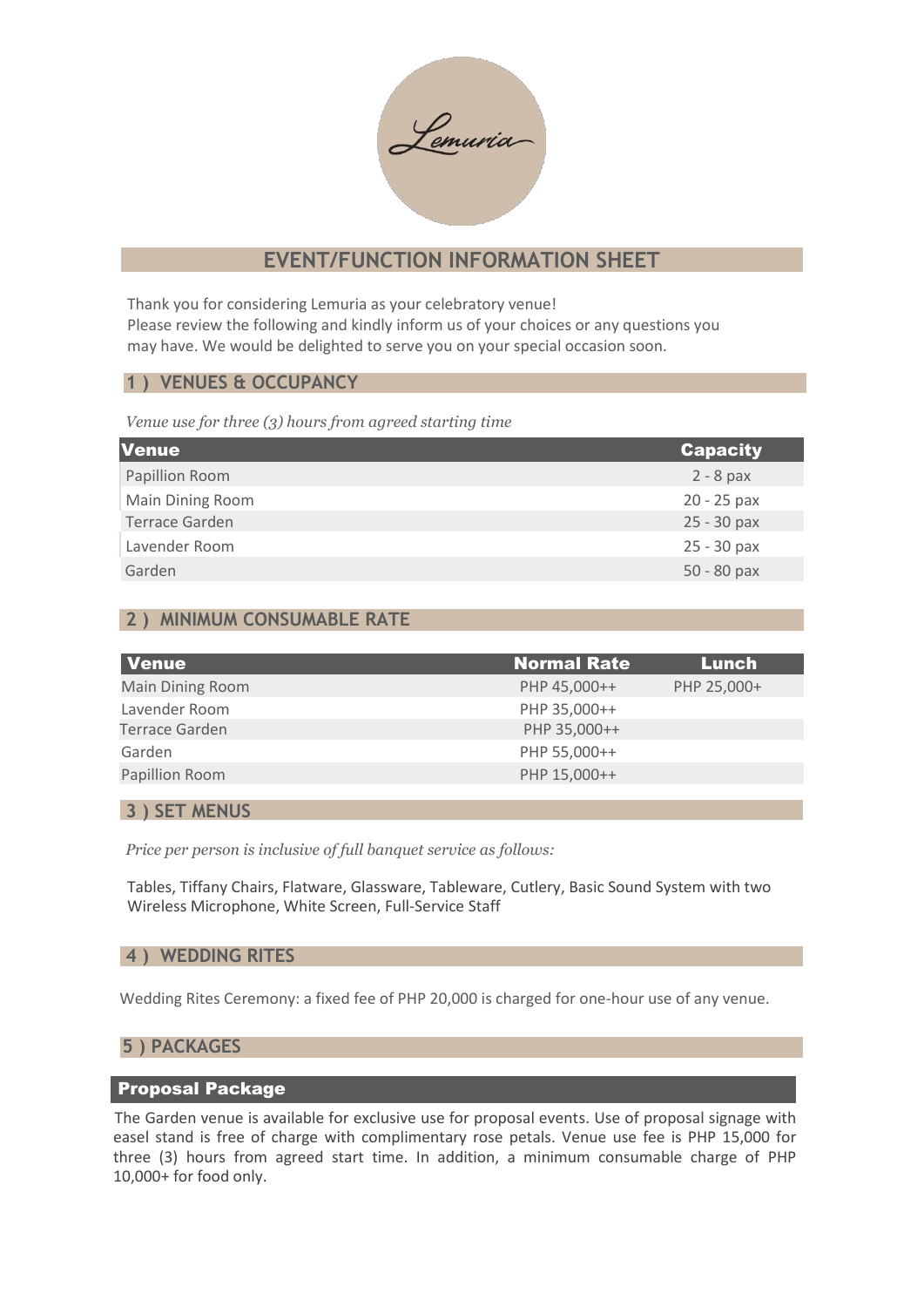Lemuria

# **EVENT/FUNCTION INFORMATION SHEET**

Thank you for considering Lemuria as your celebratory venue! Please review the following and kindly inform us of your choices or any questions you may have. We would be delighted to serve you on your special occasion soon.

## **1 ) VENUES & OCCUPANCY**

*Venue use for three (3) hours from agreed starting time*

| <b>Venue</b>          | <b>Capacity</b> |
|-----------------------|-----------------|
| Papillion Room        | $2 - 8$ pax     |
| Main Dining Room      | 20 - 25 pax     |
| <b>Terrace Garden</b> | 25 - 30 pax     |
| Lavender Room         | $25 - 30$ pax   |
| Garden                | 50 - 80 pax     |

# **2 ) MINIMUM CONSUMABLE RATE**

| Venue                 | <b>Normal Rate</b> | Lunch       |
|-----------------------|--------------------|-------------|
| Main Dining Room      | PHP 45,000++       | PHP 25,000+ |
| Lavender Room         | PHP 35,000++       |             |
| <b>Terrace Garden</b> | PHP 35,000++       |             |
| Garden                | PHP 55,000++       |             |
| Papillion Room        | PHP 15,000++       |             |

### **3 ) SET MENUS**

*Price per person is inclusive of full banquet service as follows:*

Tables, Tiffany Chairs, Flatware, Glassware, Tableware, Cutlery, Basic Sound System with two Wireless Microphone, White Screen, Full-Service Staff

## **4 ) WEDDING RITES**

Wedding Rites Ceremony: a fixed fee of PHP 20,000 is charged for one-hour use of any venue.

## **5 ) PACKAGES**

## Proposal Package

The Garden venue is available for exclusive use for proposal events. Use of proposal signage with easel stand is free of charge with complimentary rose petals. Venue use fee is PHP 15,000 for three (3) hours from agreed start time. In addition, a minimum consumable charge of PHP 10,000+ for food only.